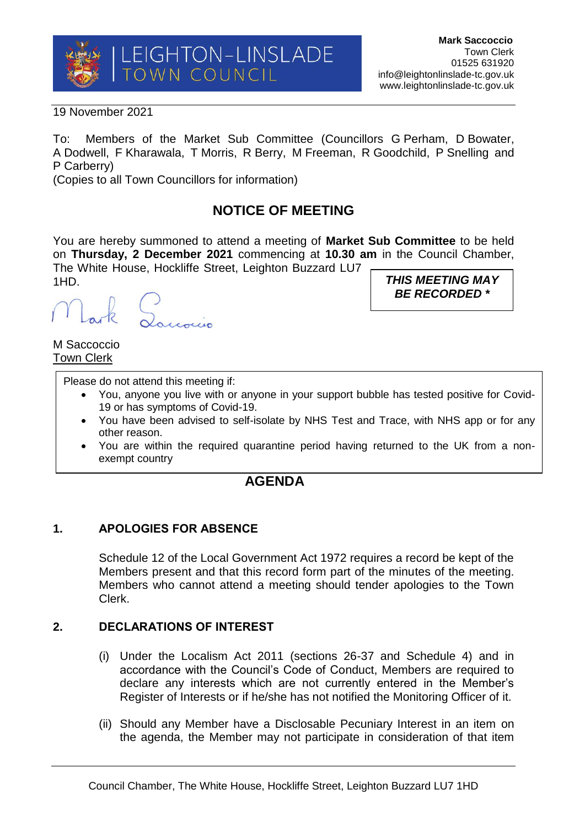

19 November 2021

To: Members of the Market Sub Committee (Councillors G Perham, D Bowater, A Dodwell, F Kharawala, T Morris, R Berry, M Freeman, R Goodchild, P Snelling and P Carberry)

(Copies to all Town Councillors for information)

# **NOTICE OF MEETING**

You are hereby summoned to attend a meeting of **Market Sub Committee** to be held on **Thursday, 2 December 2021** commencing at **10.30 am** in the Council Chamber, The White House, Hockliffe Street, Leighton Buzzard LU7 1HD.

()<br>Loucoccio

*THIS MEETING MAY BE RECORDED \**

M Saccoccio Town Clerk

Please do not attend this meeting if:

- You, anyone you live with or anyone in your support bubble has tested positive for Covid-19 or has symptoms of Covid-19.
- You have been advised to self-isolate by NHS Test and Trace, with NHS app or for any other reason.
- You are within the required quarantine period having returned to the UK from a nonexempt country

## **AGENDA**

### **1. APOLOGIES FOR ABSENCE**

Schedule 12 of the Local Government Act 1972 requires a record be kept of the Members present and that this record form part of the minutes of the meeting. Members who cannot attend a meeting should tender apologies to the Town Clerk.

#### **2. DECLARATIONS OF INTEREST**

- (i) Under the Localism Act 2011 (sections 26-37 and Schedule 4) and in accordance with the Council's Code of Conduct, Members are required to declare any interests which are not currently entered in the Member's Register of Interests or if he/she has not notified the Monitoring Officer of it.
- (ii) Should any Member have a Disclosable Pecuniary Interest in an item on the agenda, the Member may not participate in consideration of that item